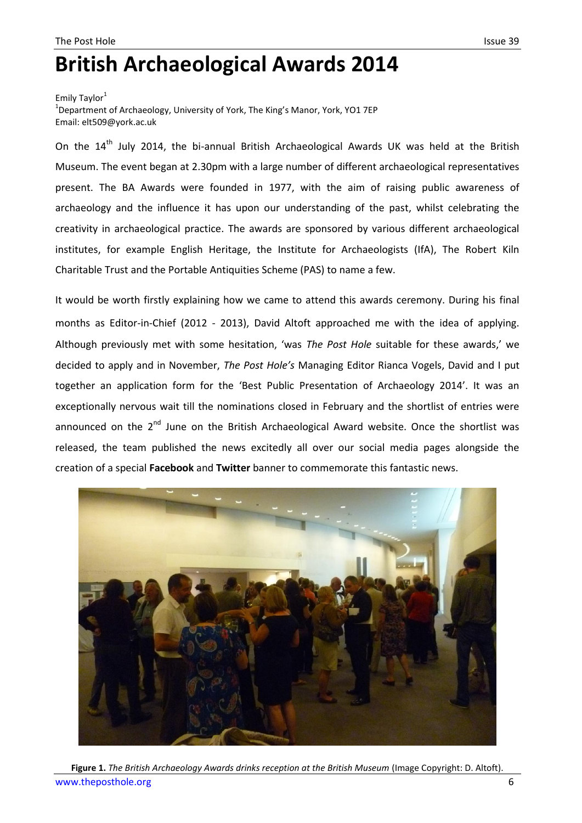## **British Archaeological Awards 2014**

Emily Taylor<sup>1</sup> <sup>1</sup>Department of Archaeology, University of York, The King's Manor, York, YO1 7EP Email: elt509@york.ac.uk

On the 14<sup>th</sup> July 2014, the bi-annual British Archaeological Awards UK was held at the British Museum. The event began at 2.30pm with a large number of different archaeological representatives present. The BA Awards were founded in 1977, with the aim of raising public awareness of archaeology and the influence it has upon our understanding of the past, whilst celebrating the creativity in archaeological practice. The awards are sponsored by various different archaeological institutes, for example English Heritage, the Institute for Archaeologists (IfA), The Robert Kiln Charitable Trust and the Portable Antiquities Scheme (PAS) to name a few.

It would be worth firstly explaining how we came to attend this awards ceremony. During his final months as Editor-in-Chief (2012 - 2013), David Altoft approached me with the idea of applying. Although previously met with some hesitation, 'was *The Post Hole* suitable for these awards,' we decided to apply and in November, *The Post Hole's* Managing Editor Rianca Vogels, David and I put together an application form for the 'Best Public Presentation of Archaeology 2014'. It was an exceptionally nervous wait till the nominations closed in February and the shortlist of entries were announced on the  $2<sup>nd</sup>$  June on the British Archaeological Award website. Once the shortlist was released, the team published the news excitedly all over our social media pages alongside the creation of a special **Facebook** and **Twitter** banner to commemorate this fantastic news.



[www.theposthole.org](http://www.theposthole.org/) 6 **Figure 1.** *The British Archaeology Awards drinks reception at the British Museum* (Image Copyright: D. Altoft).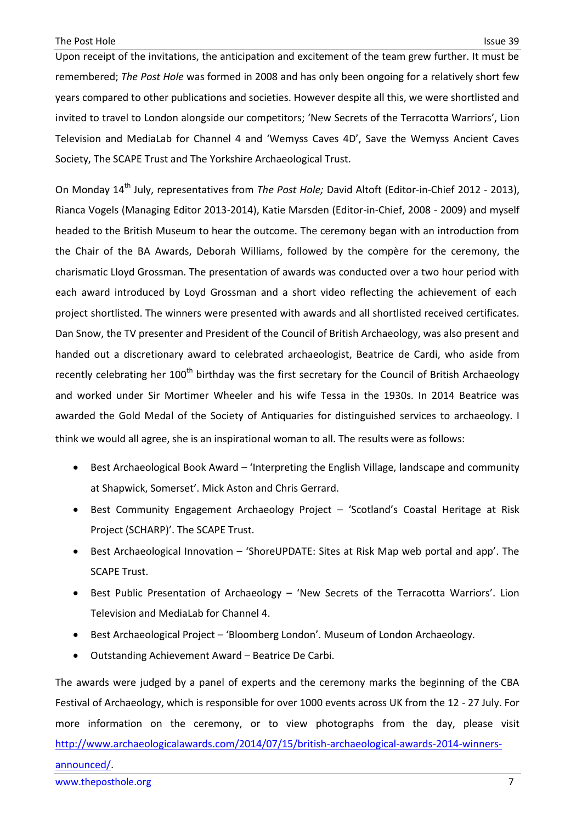Upon receipt of the invitations, the anticipation and excitement of the team grew further. It must be remembered; *The Post Hole* was formed in 2008 and has only been ongoing for a relatively short few years compared to other publications and societies. However despite all this, we were shortlisted and invited to travel to London alongside our competitors; 'New Secrets of the Terracotta Warriors', Lion Television and MediaLab for Channel 4 and 'Wemyss Caves 4D', Save the Wemyss Ancient Caves Society, The SCAPE Trust and The Yorkshire Archaeological Trust.

On Monday 14th July, representatives from *The Post Hole;* David Altoft (Editor-in-Chief 2012 - 2013), Rianca Vogels (Managing Editor 2013-2014), Katie Marsden (Editor-in-Chief, 2008 - 2009) and myself headed to the British Museum to hear the outcome. The ceremony began with an introduction from the Chair of the BA Awards, Deborah Williams, followed by the compère for the ceremony, the charismatic Lloyd Grossman. The presentation of awards was conducted over a two hour period with each award introduced by Loyd Grossman and a short video reflecting the achievement of each project shortlisted. The winners were presented with awards and all shortlisted received certificates. Dan Snow, the TV presenter and President of the Council of British Archaeology, was also present and handed out a discretionary award to celebrated archaeologist, Beatrice de Cardi, who aside from recently celebrating her 100<sup>th</sup> birthday was the first secretary for the Council of British Archaeology and worked under Sir Mortimer Wheeler and his wife Tessa in the 1930s. In 2014 Beatrice was awarded the Gold Medal of the Society of Antiquaries for distinguished services to archaeology. I think we would all agree, she is an inspirational woman to all. The results were as follows:

- Best Archaeological Book Award 'Interpreting the English Village, landscape and community at Shapwick, Somerset'. Mick Aston and Chris Gerrard.
- Best Community Engagement Archaeology Project 'Scotland's Coastal Heritage at Risk Project (SCHARP)'. The SCAPE Trust.
- Best Archaeological Innovation 'ShoreUPDATE: Sites at Risk Map web portal and app'. The SCAPE Trust.
- Best Public Presentation of Archaeology 'New Secrets of the Terracotta Warriors'. Lion Television and MediaLab for Channel 4.
- Best Archaeological Project 'Bloomberg London'. Museum of London Archaeology.
- Outstanding Achievement Award Beatrice De Carbi.

The awards were judged by a panel of experts and the ceremony marks the beginning of the CBA Festival of Archaeology, which is responsible for over 1000 events across UK from the 12 - 27 July. For more information on the ceremony, or to view photographs from the day, please visit [http://www.archaeologicalawards.com/2014/07/15/british-archaeological-awards-2014-winners](http://www.archaeologicalawards.com/2014/07/15/british-archaeological-awards-2014-winners-announced/)[announced/.](http://www.archaeologicalawards.com/2014/07/15/british-archaeological-awards-2014-winners-announced/)